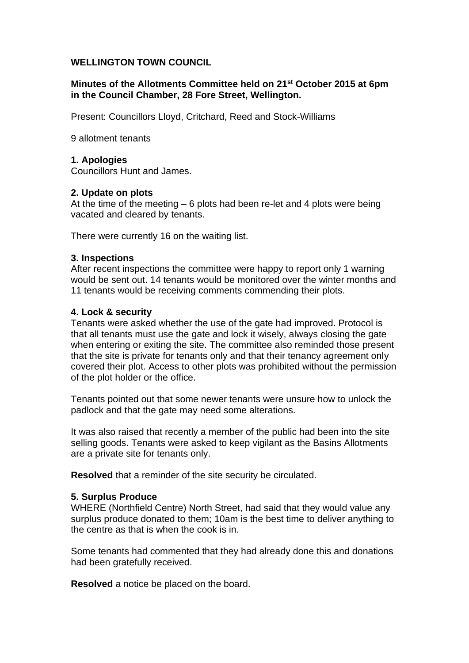# **WELLINGTON TOWN COUNCIL**

## **Minutes of the Allotments Committee held on 21st October 2015 at 6pm in the Council Chamber, 28 Fore Street, Wellington.**

Present: Councillors Lloyd, Critchard, Reed and Stock-Williams

9 allotment tenants

## **1. Apologies**

Councillors Hunt and James.

## **2. Update on plots**

At the time of the meeting – 6 plots had been re-let and 4 plots were being vacated and cleared by tenants.

There were currently 16 on the waiting list.

## **3. Inspections**

After recent inspections the committee were happy to report only 1 warning would be sent out. 14 tenants would be monitored over the winter months and 11 tenants would be receiving comments commending their plots.

## **4. Lock & security**

Tenants were asked whether the use of the gate had improved. Protocol is that all tenants must use the gate and lock it wisely, always closing the gate when entering or exiting the site. The committee also reminded those present that the site is private for tenants only and that their tenancy agreement only covered their plot. Access to other plots was prohibited without the permission of the plot holder or the office.

Tenants pointed out that some newer tenants were unsure how to unlock the padlock and that the gate may need some alterations.

It was also raised that recently a member of the public had been into the site selling goods. Tenants were asked to keep vigilant as the Basins Allotments are a private site for tenants only.

**Resolved** that a reminder of the site security be circulated.

## **5. Surplus Produce**

WHERE (Northfield Centre) North Street, had said that they would value any surplus produce donated to them; 10am is the best time to deliver anything to the centre as that is when the cook is in.

Some tenants had commented that they had already done this and donations had been gratefully received.

**Resolved** a notice be placed on the board.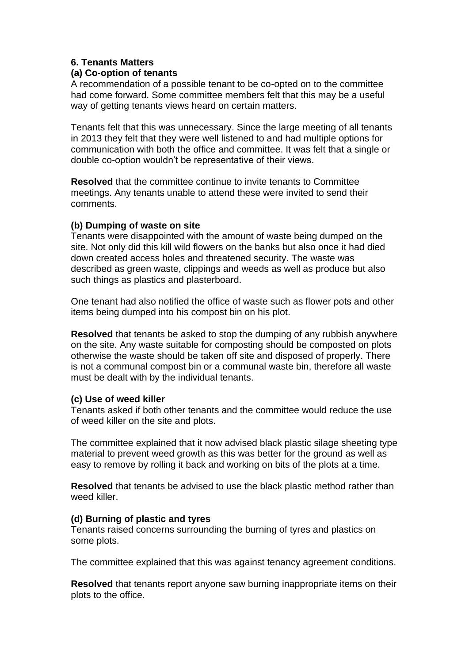## **6. Tenants Matters**

#### **(a) Co-option of tenants**

A recommendation of a possible tenant to be co-opted on to the committee had come forward. Some committee members felt that this may be a useful way of getting tenants views heard on certain matters.

Tenants felt that this was unnecessary. Since the large meeting of all tenants in 2013 they felt that they were well listened to and had multiple options for communication with both the office and committee. It was felt that a single or double co-option wouldn't be representative of their views.

**Resolved** that the committee continue to invite tenants to Committee meetings. Any tenants unable to attend these were invited to send their comments.

## **(b) Dumping of waste on site**

Tenants were disappointed with the amount of waste being dumped on the site. Not only did this kill wild flowers on the banks but also once it had died down created access holes and threatened security. The waste was described as green waste, clippings and weeds as well as produce but also such things as plastics and plasterboard.

One tenant had also notified the office of waste such as flower pots and other items being dumped into his compost bin on his plot.

**Resolved** that tenants be asked to stop the dumping of any rubbish anywhere on the site. Any waste suitable for composting should be composted on plots otherwise the waste should be taken off site and disposed of properly. There is not a communal compost bin or a communal waste bin, therefore all waste must be dealt with by the individual tenants.

#### **(c) Use of weed killer**

Tenants asked if both other tenants and the committee would reduce the use of weed killer on the site and plots.

The committee explained that it now advised black plastic silage sheeting type material to prevent weed growth as this was better for the ground as well as easy to remove by rolling it back and working on bits of the plots at a time.

**Resolved** that tenants be advised to use the black plastic method rather than weed killer.

## **(d) Burning of plastic and tyres**

Tenants raised concerns surrounding the burning of tyres and plastics on some plots.

The committee explained that this was against tenancy agreement conditions.

**Resolved** that tenants report anyone saw burning inappropriate items on their plots to the office.